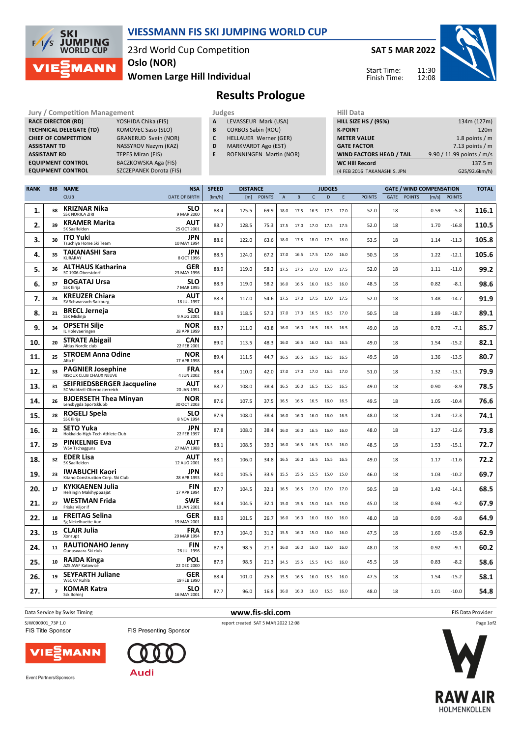

## **VIESSMANN FIS SKI JUMPING WORLD CUP**

23rd World Cup Competition

**Women Large Hill Individual Oslo (NOR)**

**SAT 5 MAR 2022**

Start Time: Finish Time:



## **Results Prologue**

Jury / Competition Management<br> **RACE DIRECTOR (RD)** YOSHIDA Chika (FIS) **A LEVASSEUR Mark (USA)** HILL SIZE HILL SIZE **RACE DIRECTOR (RD) TECHNICAL DELEGATE (TD)** KOMOVEC Saso (SLO) **CHIEF OF COMPETITION** GRANERUD Svein (NOR) **ASSISTANT TD** NASSYROV Nazym (KAZ) **ASSISTANT RD** TEPES Miran (FIS)<br>**EQUIPMENT CONTROL** BACZKOWSKA Aga **EQUIPMENT CONTROL BACZKOWSKA Aga (FIS)**<br>**EQUIPMENT CONTROL SZCZEPANEK Dorota (FIS** 

**EQUIPMENT CONTROL** SZCZEPANEK Dorota (FIS)

| A | LEVASSEUR Mark (USA) |  |
|---|----------------------|--|

- **B** CORBOS Sabin (ROU)
- **C** HELLAUER Werner (GER)
- **D** MARKVARDT Ago (EST)
- **E** ROENNINGEN Martin (NOR)

| .                               |                           |
|---------------------------------|---------------------------|
| <b>HILL SIZE HS / (95%)</b>     | 134m (127m)               |
| <b>K-POINT</b>                  | 120 <sub>m</sub>          |
| <b>METER VALUE</b>              | 1.8 points $/m$           |
| <b>GATE FACTOR</b>              | 7.13 points $/m$          |
| <b>WIND FACTORS HEAD / TAIL</b> | 9.90 / 11.99 points / m/s |
| <b>WC Hill Record</b>           | 137.5 m                   |
| (4 FEB 2016 TAKANASHI S. JPN    | G25/92.6km/h)             |
|                                 |                           |

| <b>RANK</b> | <b>BIB</b>     | <b>NAME</b>                                                 | <b>NSA</b>                | <b>SPEED</b> | <b>DISTANCE</b> |               |                |           |                | <b>JUDGES</b> |      |               |      |               | <b>GATE / WIND COMPENSATION</b> |               | <b>TOTAL</b> |
|-------------|----------------|-------------------------------------------------------------|---------------------------|--------------|-----------------|---------------|----------------|-----------|----------------|---------------|------|---------------|------|---------------|---------------------------------|---------------|--------------|
|             |                | <b>CLUB</b>                                                 | <b>DATE OF BIRTH</b>      | [km/h]       | [m]             | <b>POINTS</b> | $\overline{A}$ | B         | $\mathsf{C}$   | D             | E    | <b>POINTS</b> | GATE | <b>POINTS</b> | [m/s]                           | <b>POINTS</b> |              |
| 1.          | 38             | <b>KRIZNAR Nika</b><br><b>SSK NORICA ZIRI</b>               | <b>SLO</b><br>9 MAR 2000  | 88.4         | 125.5           | 69.9          | 18.0           | 17.5      | 16.5           | 17.5          | 17.0 | 52.0          | 18   |               | 0.59                            | $-5.8$        | 116.1        |
| 2.          | 39             | <b>KRAMER Marita</b><br>SK Saalfelden                       | AUT<br>25 OCT 2001        | 88.7         | 128.5           | 75.3          | 17.5           | 17.0 17.0 |                | 17.5          | 17.5 | 52.0          | 18   |               | 1.70                            | $-16.8$       | 110.5        |
| 3.          | 30             | <b>ITO Yuki</b><br>Tsuchiya Home Ski Team                   | <b>JPN</b><br>10 MAY 1994 | 88.6         | 122.0           | 63.6          | 18.0           | 17.5      | 18.0           | 17.5          | 18.0 | 53.5          | 18   |               | 1.14                            | $-11.3$       | 105.8        |
| 4.          | 35             | TAKANASHI Sara<br><b>KURARAY</b>                            | <b>JPN</b><br>8 OCT 1996  | 88.5         | 124.0           | 67.2          | 17.0           |           | 16.5 17.5 17.0 |               | 16.0 | 50.5          | 18   |               | 1.22                            | $-12.1$       | 105.6        |
| 5.          | 36             | <b>ALTHAUS Katharina</b><br>SC 1906 Oberstdorf              | <b>GER</b><br>23 MAY 1996 | 88.9         | 119.0           | 58.2          | 17.5           | 17.5 17.0 |                | 17.0          | 17.5 | 52.0          | 18   |               | 1.11                            | $-11.0$       | 99.2         |
| 6.          | 37             | <b>BOGATAJ Ursa</b><br>SSK Ilirija                          | <b>SLO</b><br>7 MAR 1995  | 88.9         | 119.0           | 58.2          | 16.0           | 16.5 16.0 |                | 16.5          | 16.0 | 48.5          | 18   |               | 0.82                            | $-8.1$        | 98.6         |
| 7.          | 24             | <b>KREUZER Chiara</b><br>SV Schwarzach-Salzburg             | AUT<br>18 JUL 1997        | 88.3         | 117.0           | 54.6          | 17.5           | 17.0      | 17.5           | 17.0          | 17.5 | 52.0          | 18   |               | 1.48                            | $-14.7$       | 91.9         |
| 8.          | 21             | <b>BRECL Jerneja</b><br>SSK Mislinja                        | <b>SLO</b><br>9 AUG 2001  | 88.9         | 118.5           | 57.3          | 17.0           | 17.0      | 16.5           | 16.5          | 17.0 | 50.5          | 18   |               | 1.89                            | $-18.7$       | 89.1         |
| 9.          | 34             | <b>OPSETH Silje</b><br>IL Holevaeringen                     | <b>NOR</b><br>28 APR 1999 | 88.7         | 111.0           | 43.8          | 16.0           |           | 16.0 16.5 16.5 |               | 16.5 | 49.0          | 18   |               | 0.72                            | $-7.1$        | 85.7         |
| 10.         | 20             | <b>STRATE Abigail</b><br>Altius Nordic club                 | <b>CAN</b><br>22 FEB 2001 | 89.0         | 113.5           | 48.3          | 16.0           | 16.5      | 16.0           | 16.5          | 16.5 | 49.0          | 18   |               | 1.54                            | $-15.2$       | 82.1         |
| 11.         | 25             | <b>STROEM Anna Odine</b><br>Alta If                         | <b>NOR</b><br>17 APR 1998 | 89.4         | 111.5           | 44.7          | 16.5           | 16.5      | 16.5           | 16.5          | 16.5 | 49.5          | 18   |               | 1.36                            | $-13.5$       | 80.7         |
| 12.         | 33             | <b>PAGNIER Josephine</b><br>RISOUX CLUB CHAUX NEUVE         | <b>FRA</b><br>4 JUN 2002  | 88.4         | 110.0           | 42.0          | 17.0           | 17.0      | 17.0           | 16.5          | 17.0 | 51.0          | 18   |               | 1.32                            | $-13.1$       | 79.9         |
| 13.         | 31             | SEIFRIEDSBERGER Jacqueline<br>SC Waldzell-Oberoesterreich   | AUT<br>20 JAN 1991        | 88.7         | 108.0           | 38.4          | 16.5           | 16.0      | 16.5           | 15.5          | 16.5 | 49.0          | 18   |               | 0.90                            | $-8.9$        | 78.5         |
| 14.         | 26             | <b>BJOERSETH Thea Minyan</b><br>Lensbygda Sportsklubb       | NOR<br>30 OCT 2003        | 87.6         | 107.5           | 37.5          | 16.5           | 16.5      | 16.5           | 16.0          | 16.5 | 49.5          | 18   |               | 1.05                            | $-10.4$       | 76.6         |
| 15.         | 28             | <b>ROGELJ Spela</b><br>SSK Ilirija                          | <b>SLO</b><br>8 NOV 1994  | 87.9         | 108.0           | 38.4          | 16.0           | 16.0      | 16.0           | 16.0          | 16.5 | 48.0          | 18   |               | 1.24                            | $-12.3$       | 74.1         |
| 16.         | 22             | <b>SETO Yuka</b><br>Hokkaido High-Tech Athlete Club         | JPN<br>22 FEB 1997        | 87.8         | 108.0           | 38.4          | 16.0           | 16.0      | 16.5           | 16.0          | 16.0 | 48.0          | 18   |               | 1.27                            | $-12.6$       | 73.8         |
| 17.         | 29             | <b>PINKELNIG Eva</b><br><b>WSV Tschagguns</b>               | AUT<br>27 MAY 1988        | 88.1         | 108.5           | 39.3          | 16.0           | 16.5 16.5 |                | 15.5          | 16.0 | 48.5          | 18   |               | 1.53                            | $-15.1$       | 72.7         |
| 18.         | 32             | <b>EDER Lisa</b><br>SK Saalfelden                           | AUT<br>12 AUG 2001        | 88.1         | 106.0           | 34.8          | 16.5           | 16.0      | 16.5           | 15.5          | 16.5 | 49.0          | 18   |               | 1.17                            | $-11.6$       | 72.2         |
| 19.         | 23             | <b>IWABUCHI Kaori</b><br>Kitano Construction Corp. Ski Club | <b>JPN</b><br>28 APR 1993 | 88.0         | 105.5           | 33.9          | 15.5           | 15.5      | 15.5           | 15.0          | 15.0 | 46.0          | 18   |               | 1.03                            | -10.2         | 69.7         |
| 20.         | 17             | <b>KYKKAENEN Julia</b><br>Helsingin Makihyppaajat           | <b>FIN</b><br>17 APR 1994 | 87.7         | 104.5           | 32.1          | 16.5           |           | 16.5 17.0 17.0 |               | 17.0 | 50.5          | 18   |               | 1.42                            | $-14.1$       | 68.5         |
| 21.         | 27             | <b>WESTMAN Frida</b><br>Friska Viljor if                    | <b>SWE</b><br>10 JAN 2001 | 88.4         | 104.5           | 32.1          | 15.0           | 15.5      | 15.0           | 14.5          | 15.0 | 45.0          | 18   |               | 0.93                            | $-9.2$        | 67.9         |
| 22.         | 18             | <b>FREITAG Selina</b><br>Sg Nickelhuette Aue                | GER<br>19 MAY 2001        | 88.9         | 101.5           | 26.7          | 16.0           | 16.0      | 16.0           | 16.0          | 16.0 | 48.0          | 18   |               | 0.99                            | $-9.8$        | 64.9         |
| 23.         | 15             | <b>CLAIR Julia</b><br>Xonrupt                               | <b>FRA</b><br>20 MAR 1994 | 87.3         | 104.0           | 31.2          | 15.5           |           | 16.0 15.0      | 16.0          | 16.0 | 47.5          | 18   |               | 1.60                            | $-15.8$       | 62.9         |
| 24.         | 11             | <b>RAUTIONAHO Jenny</b><br>Ounasvaara Ski club              | <b>FIN</b><br>26 JUL 1996 | 87.9         | 98.5            | 21.3          | 16.0           | 16.0 16.0 |                | 16.0          | 16.0 | 48.0          | 18   |               | 0.92                            | $-9.1$        | 60.2         |
| 25.         | 10             | RAJDA Kinga<br><b>AZS AWF Katowice</b>                      | POL<br>22 DEC 2000        | 87.9         | 98.5            | 21.3          | 14.5           | 15.5      | 15.5           | 14.5          | 16.0 | 45.5          | 18   |               | 0.83                            | $-8.2$        | 58.6         |
| 26.         | 19             | <b>SEYFARTH Juliane</b><br>WSC 07 Ruhla                     | <b>GER</b><br>19 FEB 1990 | 88.4         | 101.0           | 25.8          | 15.5           | 16.5      | 16.0           | 15.5          | 16.0 | 47.5          | 18   |               | 1.54                            | $-15.2$       | 58.1         |
| 27.         | $\overline{7}$ | <b>KOMAR Katra</b><br>Ssk Bohinj                            | <b>SLO</b><br>16 MAY 2001 | 87.7         | 96.0            | 16.8          | 16.0           |           | 16.0 16.0 15.5 |               | 16.0 | 48.0          | 18   |               | 1.01                            | $-10.0$       | 54.8         |

**Data Service by Swiss Timing** FIS Data Provider

SJW090901\_73P 1.0 report created SAT 5 MAR 2022 12:08

FIS Title Sponsor





FIS Presenting Sponsor



Event Partners/Sponsors



Page 1of2